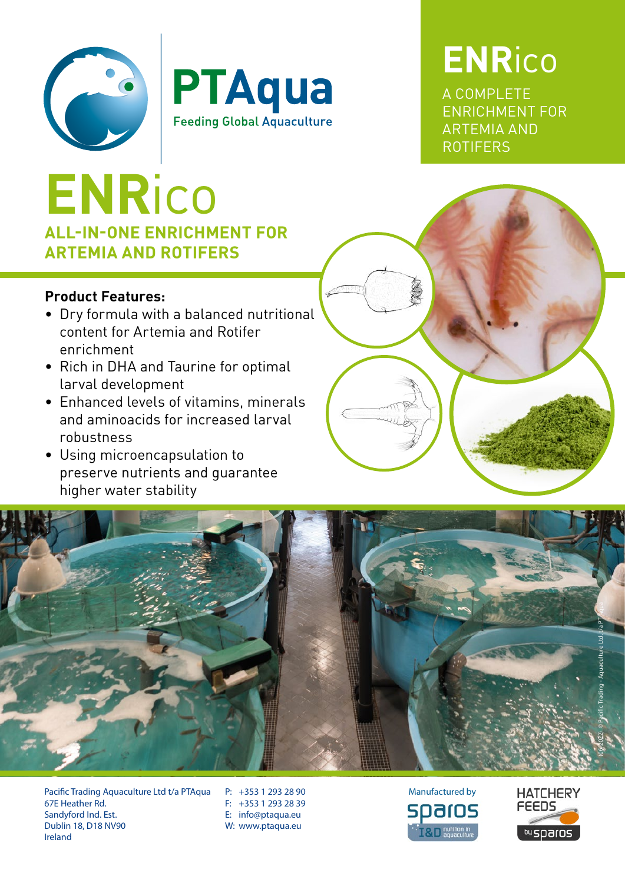



### **ENR**ico

A COMPLETE ENRICHMENT FOR ARTEMIA AND ROTIFERS

#### **ALL-IN-ONE ENRICHMENT FOR ARTEMIA AND ROTIFERS ENR**ico

#### **Product Features:**

- Dry formula with a balanced nutritional content for Artemia and Rotifer enrichment
- Rich in DHA and Taurine for optimal larval development
- Enhanced levels of vitamins, minerals and aminoacids for increased larval robustness
- Using microencapsulation to preserve nutrients and guarantee higher water stability



Pacific Trading Aquaculture Ltd t/a PTAqua 67E Heather Rd. Sandyford Ind. Est. Dublin 18, D18 NV90 Ireland

P: +353 1 293 28 90 F: +353 1 293 28 39 E: info@ptaqua.eu W: www.ptaqua.eu